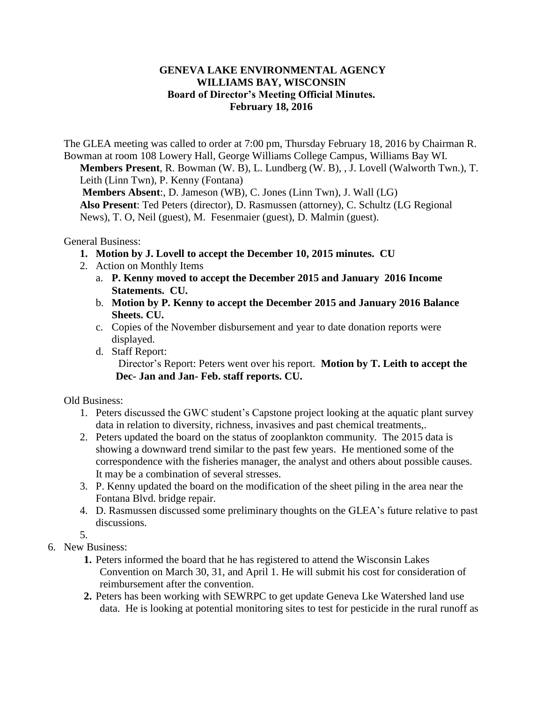## **GENEVA LAKE ENVIRONMENTAL AGENCY WILLIAMS BAY, WISCONSIN Board of Director's Meeting Official Minutes. February 18, 2016**

The GLEA meeting was called to order at 7:00 pm, Thursday February 18, 2016 by Chairman R. Bowman at room 108 Lowery Hall, George Williams College Campus, Williams Bay WI.

**Members Present**, R. Bowman (W. B), L. Lundberg (W. B), , J. Lovell (Walworth Twn.), T. Leith (Linn Twn), P. Kenny (Fontana)

**Members Absent**:, D. Jameson (WB), C. Jones (Linn Twn), J. Wall (LG)

**Also Present**: Ted Peters (director), D. Rasmussen (attorney), C. Schultz (LG Regional News), T. O, Neil (guest), M. Fesenmaier (guest), D. Malmin (guest).

General Business:

- **1. Motion by J. Lovell to accept the December 10, 2015 minutes. CU**
- 2. Action on Monthly Items
	- a. **P. Kenny moved to accept the December 2015 and January 2016 Income Statements. CU.**
	- b. **Motion by P. Kenny to accept the December 2015 and January 2016 Balance Sheets. CU.**
	- c. Copies of the November disbursement and year to date donation reports were displayed.
	- d. Staff Report:

Director's Report: Peters went over his report. **Motion by T. Leith to accept the Dec- Jan and Jan- Feb. staff reports. CU.**

Old Business:

- 1. Peters discussed the GWC student's Capstone project looking at the aquatic plant survey data in relation to diversity, richness, invasives and past chemical treatments,.
- 2. Peters updated the board on the status of zooplankton community. The 2015 data is showing a downward trend similar to the past few years. He mentioned some of the correspondence with the fisheries manager, the analyst and others about possible causes. It may be a combination of several stresses.
- 3. P. Kenny updated the board on the modification of the sheet piling in the area near the Fontana Blvd. bridge repair.
- 4. D. Rasmussen discussed some preliminary thoughts on the GLEA's future relative to past discussions.

5.

- 6. New Business:
	- **1.** Peters informed the board that he has registered to attend the Wisconsin Lakes Convention on March 30, 31, and April 1. He will submit his cost for consideration of reimbursement after the convention.
	- **2.** Peters has been working with SEWRPC to get update Geneva Lke Watershed land use data. He is looking at potential monitoring sites to test for pesticide in the rural runoff as